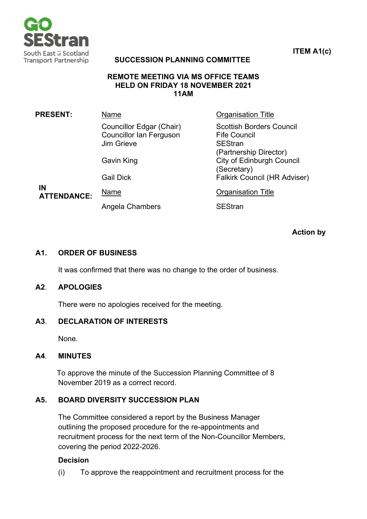

**ITEM A1(c)**

# **SUCCESSION PLANNING COMMITTEE**

#### **REMOTE MEETING VIA MS OFFICE TEAMS HELD ON FRIDAY 18 NOVEMBER 2021 11AM**

| <b>PRESENT:</b>          | Name                                                                            | <b>Organisation Title</b>                                                                                        |
|--------------------------|---------------------------------------------------------------------------------|------------------------------------------------------------------------------------------------------------------|
|                          | Councillor Edgar (Chair)<br><b>Councillor Ian Ferguson</b><br><b>Jim Grieve</b> | <b>Scottish Borders Council</b><br><b>Fife Council</b><br><b>SEStran</b>                                         |
|                          | <b>Gavin King</b><br><b>Gail Dick</b>                                           | (Partnership Director)<br><b>City of Edinburgh Council</b><br>(Secretary)<br><b>Falkirk Council (HR Adviser)</b> |
| IN<br><b>ATTENDANCE:</b> | Name                                                                            | <b>Organisation Title</b>                                                                                        |
|                          | Angela Chambers                                                                 | <b>SEStran</b>                                                                                                   |

**Action by**

### **A1. ORDER OF BUSINESS**

It was confirmed that there was no change to the order of business.

# **A2**. **APOLOGIES**

There were no apologies received for the meeting.

### **A3**. **DECLARATION OF INTERESTS**

None.

### **A4**. **MINUTES**

To approve the minute of the Succession Planning Committee of 8 November 2019 as a correct record.

# **A5. BOARD DIVERSITY SUCCESSION PLAN**

The Committee considered a report by the Business Manager outlining the proposed procedure for the re-appointments and recruitment process for the next term of the Non-Councillor Members, covering the period 2022-2026.

### **Decision**

(i) To approve the reappointment and recruitment process for the